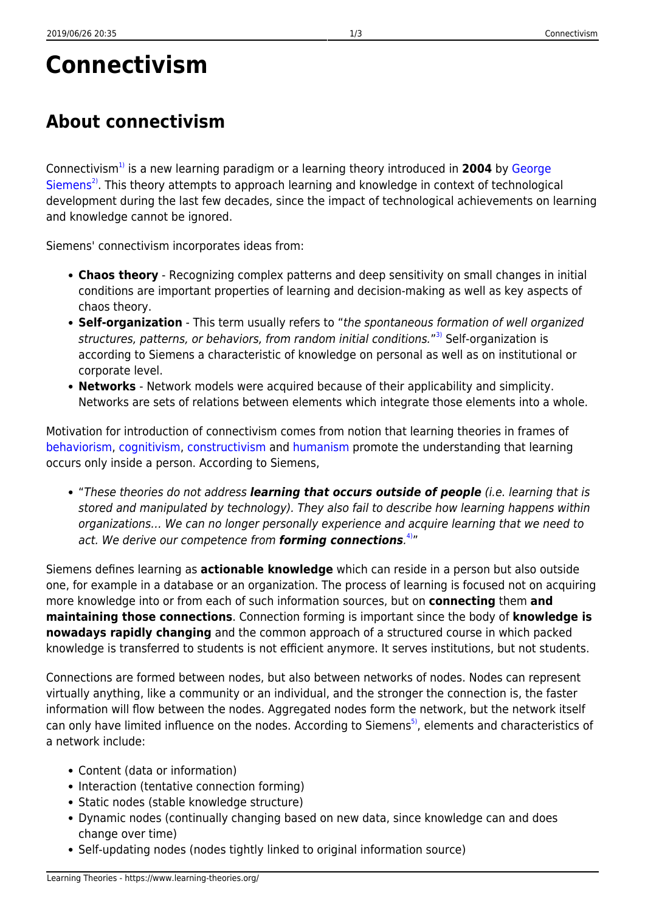# **Connectivism**

# **About connectivism**

Connectivism[1\)](#page--1-0) is a new learning paradigm or a learning theory introduced in **2004** by [George](http://www.educause.edu/Community/MemDir/Profiles/GeorgeSiemens/57433) [Siemens](http://www.educause.edu/Community/MemDir/Profiles/GeorgeSiemens/57433)<sup>[2\)](#page--1-0)</sup>. This theory attempts to approach learning and knowledge in context of technological development during the last few decades, since the impact of technological achievements on learning and knowledge cannot be ignored.

Siemens' connectivism incorporates ideas from:

- **Chaos theory** Recognizing complex patterns and deep sensitivity on small changes in initial conditions are important properties of learning and decision-making as well as key aspects of chaos theory.
- **Self-organization** This term usually refers to "the spontaneous formation of well organized structures, patterns, or behaviors, from random initial conditions."<sup>[3\)](#page--1-0)</sup> Self-organization is according to Siemens a characteristic of knowledge on personal as well as on institutional or corporate level.
- **Networks** Network models were acquired because of their applicability and simplicity. Networks are sets of relations between elements which integrate those elements into a whole.

Motivation for introduction of connectivism comes from notion that learning theories in frames of [behaviorism](https://www.learning-theories.org/doku.php?id=learning_paradigms:behaviorism), [cognitivism,](https://www.learning-theories.org/doku.php?id=learning_paradigms:cognitivism) [constructivism](https://www.learning-theories.org/doku.php?id=learning_paradigms:constructivism) and [humanism](https://www.learning-theories.org/doku.php?id=learning_paradigms:humanism) promote the understanding that learning occurs only inside a person. According to Siemens,

"These theories do not address *learning that occurs outside of people* (i.e. learning that is stored and manipulated by technology). They also fail to describe how learning happens within organizations… We can no longer personally experience and acquire learning that we need to act. We derive our competence from *forming connections*. [4\)](#page--1-0)"

Siemens defines learning as **actionable knowledge** which can reside in a person but also outside one, for example in a database or an organization. The process of learning is focused not on acquiring more knowledge into or from each of such information sources, but on **connecting** them **and maintaining those connections**. Connection forming is important since the body of **knowledge is nowadays rapidly changing** and the common approach of a structured course in which packed knowledge is transferred to students is not efficient anymore. It serves institutions, but not students.

Connections are formed between nodes, but also between networks of nodes. Nodes can represent virtually anything, like a community or an individual, and the stronger the connection is, the faster information will flow between the nodes. Aggregated nodes form the network, but the network itself can only have limited influence on the nodes. According to Siemens<sup>[5\)](#page--1-0)</sup>, elements and characteristics of a network include:

- Content (data or information)
- Interaction (tentative connection forming)
- Static nodes (stable knowledge structure)
- Dynamic nodes (continually changing based on new data, since knowledge can and does change over time)
- Self-updating nodes (nodes tightly linked to original information source)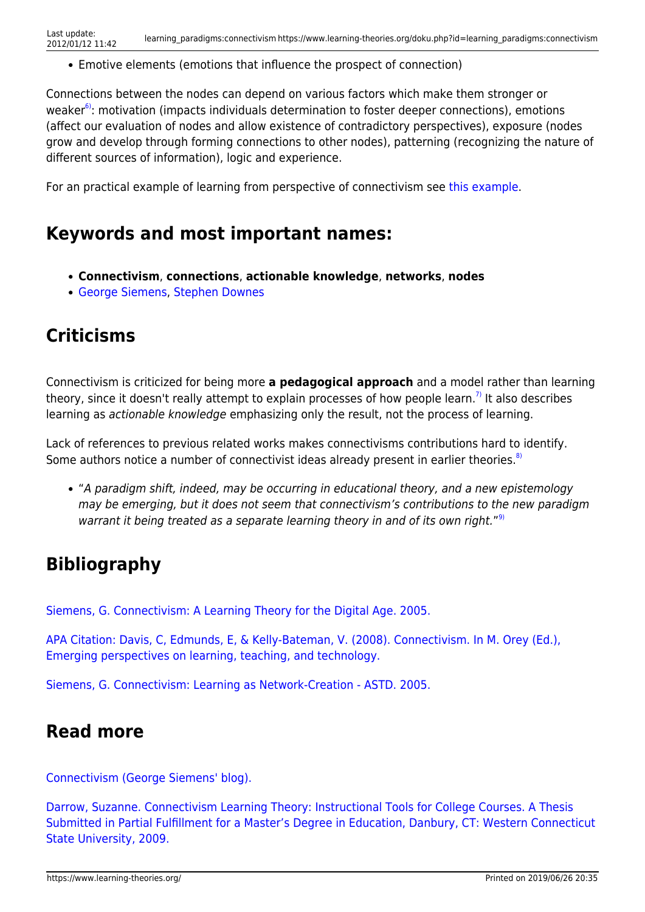Emotive elements (emotions that influence the prospect of connection)

Connections between the nodes can depend on various factors which make them stronger or weaker $6$ ): motivation (impacts individuals determination to foster deeper connections), emotions (affect our evaluation of nodes and allow existence of contradictory perspectives), exposure (nodes grow and develop through forming connections to other nodes), patterning (recognizing the nature of different sources of information), logic and experience.

For an practical example of learning from perspective of connectivism see [this example.](http://projects.coe.uga.edu/epltt/index.php?title=Connectivism#Principles_of_Connectivism)

#### **Keywords and most important names:**

- **Connectivism**, **connections**, **actionable knowledge**, **networks**, **nodes**
- [George Siemens](http://www.educause.edu/Community/MemDir/Profiles/GeorgeSiemens/57433), [Stephen Downes](http://www.downes.ca/)

## **Criticisms**

Connectivism is criticized for being more **a pedagogical approach** and a model rather than learning theory, since it doesn't really attempt to explain processes of how people learn.<sup>[7\)](#page--1-0)</sup> It also describes learning as actionable knowledge emphasizing only the result, not the process of learning.

Lack of references to previous related works makes connectivisms contributions hard to identify. Some authors notice a number of connectivist ideas already present in earlier theories.<sup>[8\)](#page--1-0)</sup>

"A paradigm shift, indeed, may be occurring in educational theory, and a new epistemology may be emerging, but it does not seem that connectivism's contributions to the new paradigm warrant it being treated as a separate learning theory in and of its own right."<sup>[9\)](#page--1-0)</sup>

### **Bibliography**

[Siemens, G. Connectivism: A Learning Theory for the Digital Age. 2005.](http://devrijeruimte.org/content/artikelen/Connectivism.pdf)

[APA Citation: Davis, C, Edmunds, E, & Kelly-Bateman, V. \(2008\). Connectivism. In M. Orey \(Ed.\),](http://projects.coe.uga.edu/epltt) [Emerging perspectives on learning, teaching, and technology.](http://projects.coe.uga.edu/epltt)

[Siemens, G. Connectivism: Learning as Network-Creation - ASTD. 2005.](http://www.astd.org/LC/2005/1105_seimens.htm)

#### **Read more**

[Connectivism \(George Siemens' blog\).](http://www.connectivism.ca/)

[Darrow, Suzanne. Connectivism Learning Theory: Instructional Tools for College Courses. A Thesis](http://library.wcsu.edu/dspace/bitstream/0/487/1/Darrow,+Suzanne_+Connectivism+Learning+Theory_Instructional+Tools+for+College+Courses.pdf) [Submitted in Partial Fulfillment for a Master's Degree in Education, Danbury, CT: Western Connecticut](http://library.wcsu.edu/dspace/bitstream/0/487/1/Darrow,+Suzanne_+Connectivism+Learning+Theory_Instructional+Tools+for+College+Courses.pdf) [State University, 2009.](http://library.wcsu.edu/dspace/bitstream/0/487/1/Darrow,+Suzanne_+Connectivism+Learning+Theory_Instructional+Tools+for+College+Courses.pdf)